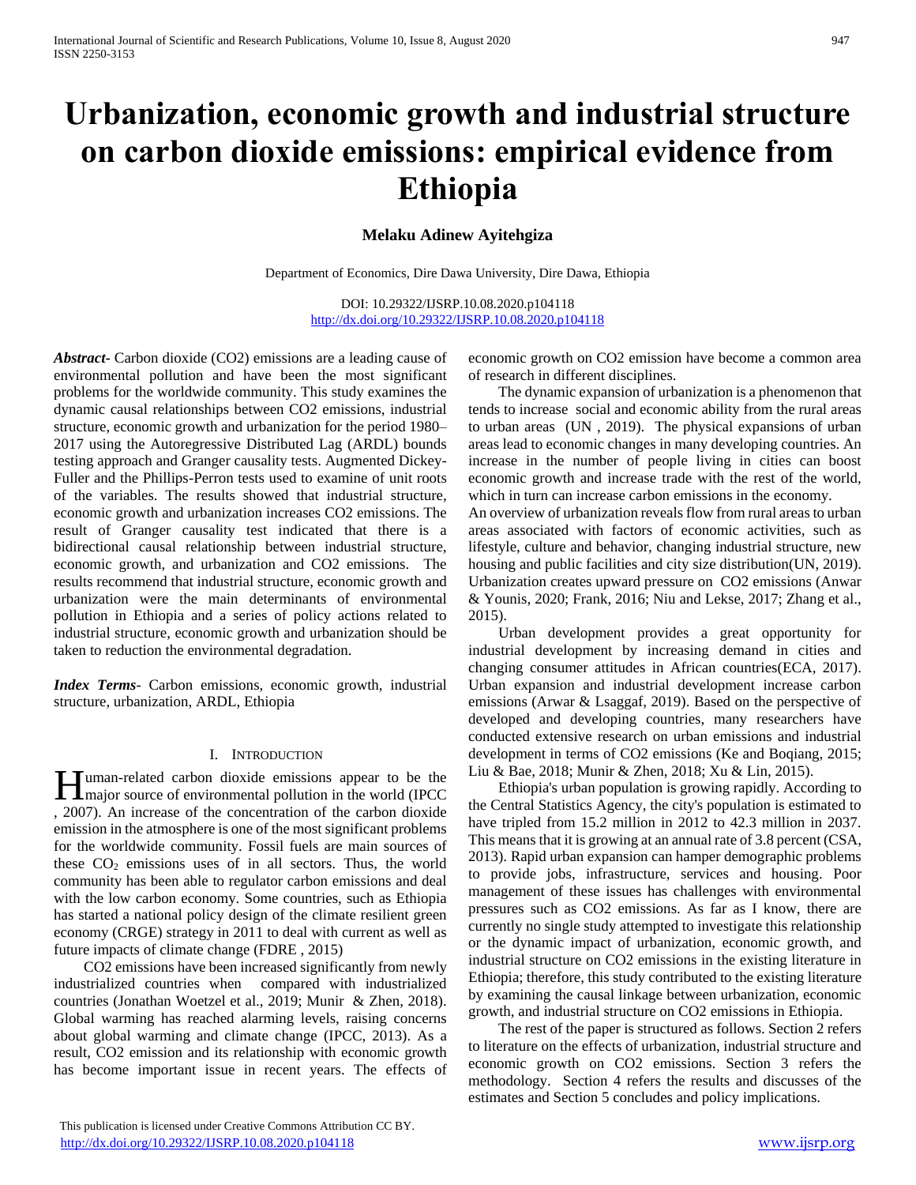# **Urbanization, economic growth and industrial structure on carbon dioxide emissions: empirical evidence from Ethiopia**

# **Melaku Adinew Ayitehgiza**

Department of Economics, Dire Dawa University, Dire Dawa, Ethiopia

DOI: 10.29322/IJSRP.10.08.2020.p104118 <http://dx.doi.org/10.29322/IJSRP.10.08.2020.p104118>

*Abstract***-** Carbon dioxide (CO2) emissions are a leading cause of environmental pollution and have been the most significant problems for the worldwide community. This study examines the dynamic causal relationships between CO2 emissions, industrial structure, economic growth and urbanization for the period 1980– 2017 using the Autoregressive Distributed Lag (ARDL) bounds testing approach and Granger causality tests. Augmented Dickey-Fuller and the Phillips-Perron tests used to examine of unit roots of the variables. The results showed that industrial structure, economic growth and urbanization increases CO2 emissions. The result of Granger causality test indicated that there is a bidirectional causal relationship between industrial structure, economic growth, and urbanization and CO2 emissions. The results recommend that industrial structure, economic growth and urbanization were the main determinants of environmental pollution in Ethiopia and a series of policy actions related to industrial structure, economic growth and urbanization should be taken to reduction the environmental degradation.

*Index Terms*- Carbon emissions, economic growth, industrial structure, urbanization, ARDL, Ethiopia

## I. INTRODUCTION

uman-related carbon dioxide emissions appear to be the **H**uman-related carbon dioxide emissions appear to be the major source of environmental pollution in the world (IPCC) , 2007). An increase of the concentration of the carbon dioxide emission in the atmosphere is one of the most significant problems for the worldwide community. Fossil fuels are main sources of these  $CO<sub>2</sub>$  emissions uses of in all sectors. Thus, the world community has been able to regulator carbon emissions and deal with the low carbon economy. Some countries, such as Ethiopia has started a national policy design of the climate resilient green economy (CRGE) strategy in 2011 to deal with current as well as future impacts of climate change (FDRE , 2015)

 CO2 emissions have been increased significantly from newly industrialized countries when compared with industrialized countries (Jonathan Woetzel et al., 2019; Munir & Zhen, 2018). Global warming has reached alarming levels, raising concerns about global warming and climate change (IPCC, 2013). As a result, CO2 emission and its relationship with economic growth has become important issue in recent years. The effects of

 This publication is licensed under Creative Commons Attribution CC BY. <http://dx.doi.org/10.29322/IJSRP.10.08.2020.p104118> [www.ijsrp.org](http://ijsrp.org/)

economic growth on CO2 emission have become a common area of research in different disciplines.

 The dynamic expansion of urbanization is a phenomenon that tends to increase social and economic ability from the rural areas to urban areas (UN , 2019). The physical expansions of urban areas lead to economic changes in many developing countries. An increase in the number of people living in cities can boost economic growth and increase trade with the rest of the world, which in turn can increase carbon emissions in the economy. An overview of urbanization reveals flow from rural areas to urban areas associated with factors of economic activities, such as lifestyle, culture and behavior, changing industrial structure, new housing and public facilities and city size distribution(UN, 2019).

Urbanization creates upward pressure on CO2 emissions (Anwar & Younis, 2020; Frank, 2016; Niu and Lekse, 2017; Zhang et al., 2015).

 Urban development provides a great opportunity for industrial development by increasing demand in cities and changing consumer attitudes in African countries(ECA, 2017). Urban expansion and industrial development increase carbon emissions (Arwar & Lsaggaf, 2019). Based on the perspective of developed and developing countries, many researchers have conducted extensive research on urban emissions and industrial development in terms of CO2 emissions (Ke and Boqiang, 2015; Liu & Bae, 2018; Munir & Zhen, 2018; Xu & Lin, 2015).

 Ethiopia's urban population is growing rapidly. According to the Central Statistics Agency, the city's population is estimated to have tripled from 15.2 million in 2012 to 42.3 million in 2037. This means that it is growing at an annual rate of 3.8 percent (CSA, 2013). Rapid urban expansion can hamper demographic problems to provide jobs, infrastructure, services and housing. Poor management of these issues has challenges with environmental pressures such as CO2 emissions. As far as I know, there are currently no single study attempted to investigate this relationship or the dynamic impact of urbanization, economic growth, and industrial structure on CO2 emissions in the existing literature in Ethiopia; therefore, this study contributed to the existing literature by examining the causal linkage between urbanization, economic growth, and industrial structure on CO2 emissions in Ethiopia.

 The rest of the paper is structured as follows. Section 2 refers to literature on the effects of urbanization, industrial structure and economic growth on CO2 emissions. Section 3 refers the methodology. Section 4 refers the results and discusses of the estimates and Section 5 concludes and policy implications.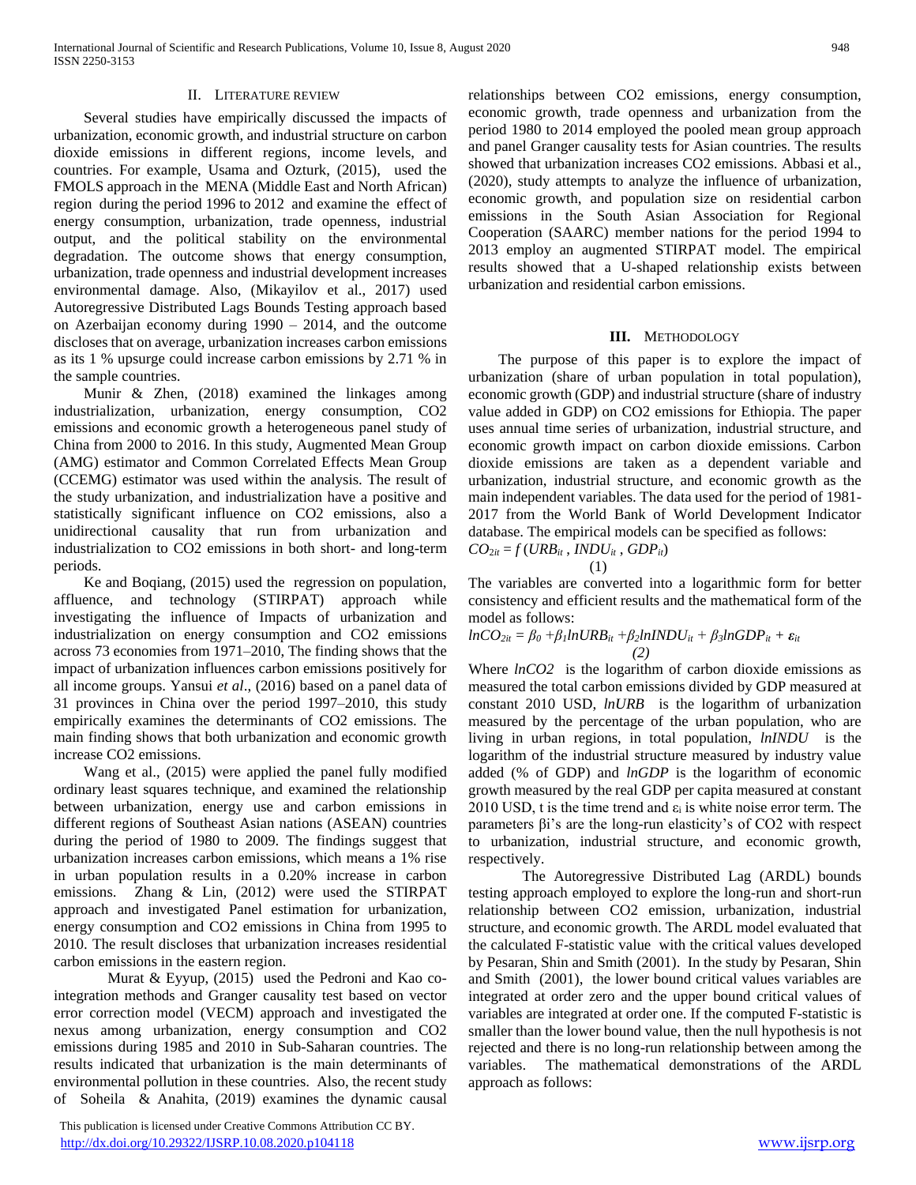## II. LITERATURE REVIEW

 Several studies have empirically discussed the impacts of urbanization, economic growth, and industrial structure on carbon dioxide emissions in different regions, income levels, and countries. For example, Usama and Ozturk, (2015), used the FMOLS approach in the MENA (Middle East and North African) region during the period 1996 to 2012 and examine the effect of energy consumption, urbanization, trade openness, industrial output, and the political stability on the environmental degradation. The outcome shows that energy consumption, urbanization, trade openness and industrial development increases environmental damage. Also, (Mikayilov et al., 2017) used Autoregressive Distributed Lags Bounds Testing approach based on Azerbaijan economy during 1990 – 2014, and the outcome discloses that on average, urbanization increases carbon emissions as its 1 % upsurge could increase carbon emissions by 2.71 % in the sample countries.

 Munir & Zhen, (2018) examined the linkages among industrialization, urbanization, energy consumption, CO2 emissions and economic growth a heterogeneous panel study of China from 2000 to 2016. In this study, Augmented Mean Group (AMG) estimator and Common Correlated Effects Mean Group (CCEMG) estimator was used within the analysis. The result of the study urbanization, and industrialization have a positive and statistically significant influence on CO2 emissions, also a unidirectional causality that run from urbanization and industrialization to CO2 emissions in both short- and long-term periods.

 Ke and Boqiang, (2015) used the regression on population, affluence, and technology (STIRPAT) approach while investigating the influence of Impacts of urbanization and industrialization on energy consumption and CO2 emissions across 73 economies from 1971–2010, The finding shows that the impact of urbanization influences carbon emissions positively for all income groups. Yansui *et al*., (2016) based on a panel data of 31 provinces in China over the period 1997–2010, this study empirically examines the determinants of CO2 emissions. The main finding shows that both urbanization and economic growth increase CO2 emissions.

 Wang et al., (2015) were applied the panel fully modified ordinary least squares technique, and examined the relationship between urbanization, energy use and carbon emissions in different regions of Southeast Asian nations (ASEAN) countries during the period of 1980 to 2009. The findings suggest that urbanization increases carbon emissions, which means a 1% rise in urban population results in a 0.20% increase in carbon emissions. Zhang & Lin, (2012) were used the STIRPAT approach and investigated Panel estimation for urbanization, energy consumption and CO2 emissions in China from 1995 to 2010. The result discloses that urbanization increases residential carbon emissions in the eastern region.

Murat & Eyyup, (2015) used the Pedroni and Kao cointegration methods and Granger causality test based on vector error correction model (VECM) approach and investigated the nexus among urbanization, energy consumption and CO2 emissions during 1985 and 2010 in Sub-Saharan countries. The results indicated that urbanization is the main determinants of environmental pollution in these countries. Also, the recent study of Soheila & Anahita, (2019) examines the dynamic causal

 This publication is licensed under Creative Commons Attribution CC BY. <http://dx.doi.org/10.29322/IJSRP.10.08.2020.p104118> [www.ijsrp.org](http://ijsrp.org/)

relationships between CO2 emissions, energy consumption, economic growth, trade openness and urbanization from the period 1980 to 2014 employed the pooled mean group approach and panel Granger causality tests for Asian countries. The results showed that urbanization increases CO2 emissions. Abbasi et al., (2020), study attempts to analyze the influence of urbanization, economic growth, and population size on residential carbon emissions in the South Asian Association for Regional Cooperation (SAARC) member nations for the period 1994 to 2013 employ an augmented STIRPAT model. The empirical results showed that a U-shaped relationship exists between urbanization and residential carbon emissions.

## **III.** METHODOLOGY

 The purpose of this paper is to explore the impact of urbanization (share of urban population in total population), economic growth (GDP) and industrial structure (share of industry value added in GDP) on CO2 emissions for Ethiopia. The paper uses annual time series of urbanization, industrial structure, and economic growth impact on carbon dioxide emissions. Carbon dioxide emissions are taken as a dependent variable and urbanization, industrial structure, and economic growth as the main independent variables. The data used for the period of 1981- 2017 from the World Bank of World Development Indicator database. The empirical models can be specified as follows:  $CO_{2it} = f(URB_{it}$ ,  $INDU_{it}$ ,  $GDP_{it}$ )

$$
\begin{array}{c} \n \text{(SADtt}, \text{INDO}_{tt}, \text{C)} \\
\text{(1)}\n \end{array}
$$

The variables are converted into a logarithmic form for better consistency and efficient results and the mathematical form of the model as follows:

$$
lnCO_{2it} = \beta_0 + \beta_1 lnURB_{it} + \beta_2 lnINDU_{it} + \beta_3 lnGDP_{it} + \varepsilon_{it}
$$
  
(2)

Where *lnCO2* is the logarithm of carbon dioxide emissions as measured the total carbon emissions divided by GDP measured at constant 2010 USD, *lnURB* is the logarithm of urbanization measured by the percentage of the urban population, who are living in urban regions, in total population, *lnINDU* is the logarithm of the industrial structure measured by industry value added (% of GDP) and *lnGDP* is the logarithm of economic growth measured by the real GDP per capita measured at constant 2010 USD, t is the time trend and  $\varepsilon_i$  is white noise error term. The parameters βi's are the long-run elasticity's of CO2 with respect to urbanization, industrial structure, and economic growth, respectively.

The Autoregressive Distributed Lag (ARDL) bounds testing approach employed to explore the long-run and short-run relationship between CO2 emission, urbanization, industrial structure, and economic growth. The ARDL model evaluated that the calculated F-statistic value with the critical values developed by Pesaran, Shin and Smith (2001). In the study by Pesaran, Shin and Smith (2001), the lower bound critical values variables are integrated at order zero and the upper bound critical values of variables are integrated at order one. If the computed F-statistic is smaller than the lower bound value, then the null hypothesis is not rejected and there is no long-run relationship between among the variables. The mathematical demonstrations of the ARDL approach as follows: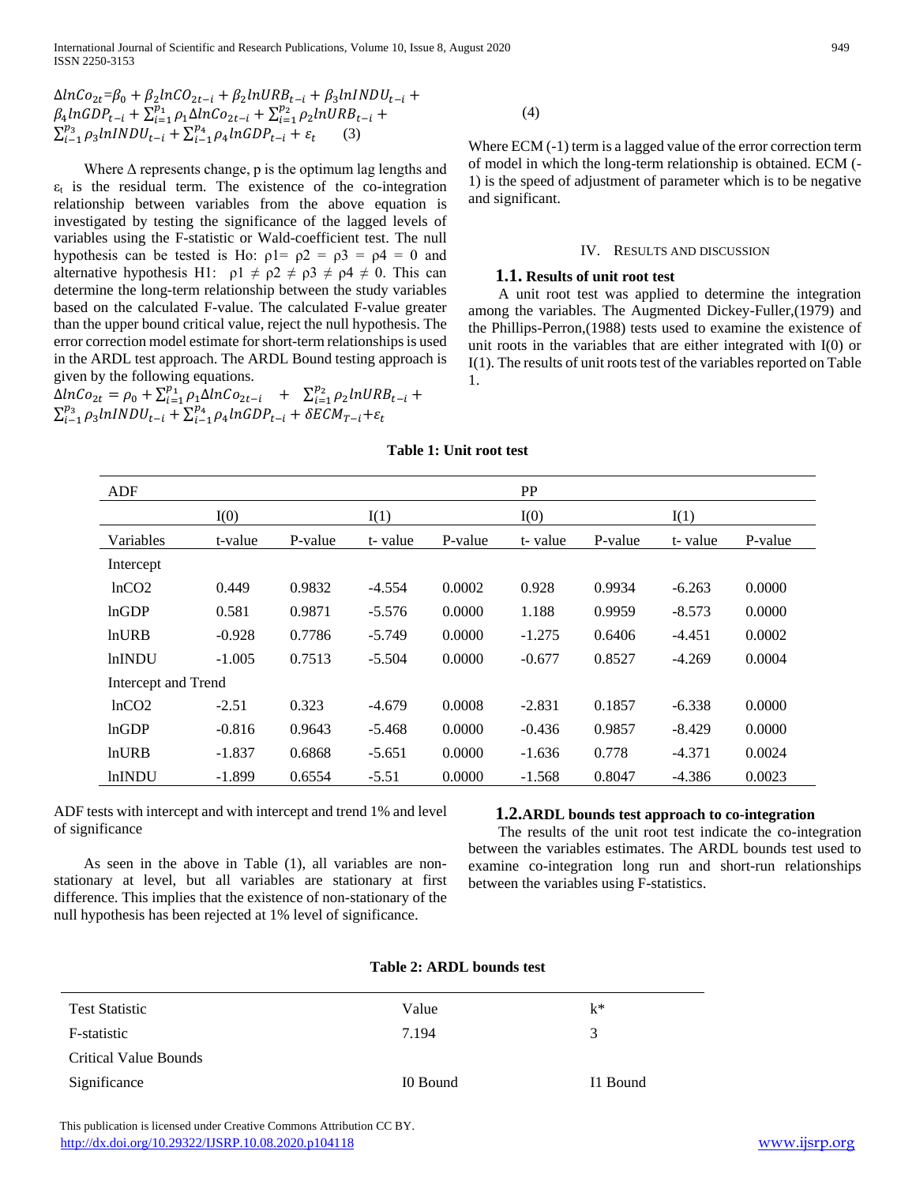$\Delta ln Co_{2t} = \beta_0 + \beta_2 ln CO_{2t-i} + \beta_2 ln URB_{t-i} + \beta_3 ln INDU_{t-i} +$  $\beta_4 ln GDP_{t-i} + \sum_{i=1}^{p_1} \rho_1 \Delta lnCo_{2t-i} + \sum_{i=1}^{p_2} \rho_2 lnURB_{t-i} + \sum_{i=1}^{p_3} \rho_3 lnINDU_{t-i} + \sum_{i=1}^{p_4} \rho_4 lnGDP_{t-i} + \varepsilon_t$  (3)

Where  $\Delta$  represents change, p is the optimum lag lengths and  $\varepsilon_t$  is the residual term. The existence of the co-integration relationship between variables from the above equation is investigated by testing the significance of the lagged levels of variables using the F-statistic or Wald-coefficient test. The null hypothesis can be tested is Ho:  $\rho l = \rho 2 = \rho 3 = \rho 4 = 0$  and alternative hypothesis H1:  $\rho 1 \neq \rho 2 \neq \rho 3 \neq \rho 4 \neq 0$ . This can determine the long-term relationship between the study variables based on the calculated F-value. The calculated F-value greater than the upper bound critical value, reject the null hypothesis. The error correction model estimate for short-term relationships is used in the ARDL test approach. The ARDL Bound testing approach is given by the following equations.

 $\Delta ln Co_{2t} = \rho_0 + \sum_{i=1}^{p_1} \rho_1 \Delta ln Co_{2t-i} + \sum_{i=1}^{p_2} \rho_2 ln URB_{t-i} + \sum_{i=1}^{p_3} \rho_3 ln INDU_{t-i} + \sum_{i=1}^{p_4} \rho_4 ln GDP_{t-i} + \delta ECM_{T-i} + \varepsilon_t$ 

(4)

Where ECM (-1) term is a lagged value of the error correction term of model in which the long-term relationship is obtained. ECM (- 1) is the speed of adjustment of parameter which is to be negative and significant.

#### IV. RESULTS AND DISCUSSION

## **1.1. Results of unit root test**

 A unit root test was applied to determine the integration among the variables. The Augmented Dickey-Fuller,(1979) and the Phillips-Perron,(1988) tests used to examine the existence of unit roots in the variables that are either integrated with I(0) or I(1). The results of unit roots test of the variables reported on Table 1.

**Table 1: Unit root test**

| ADF                 |          |         |          |         | <b>PP</b> |         |          |         |
|---------------------|----------|---------|----------|---------|-----------|---------|----------|---------|
|                     | I(0)     |         | I(1)     |         | I(0)      |         | I(1)     |         |
| Variables           | t-value  | P-value | t-value  | P-value | t-value   | P-value | t-value  | P-value |
| Intercept           |          |         |          |         |           |         |          |         |
| lnCO2               | 0.449    | 0.9832  | $-4.554$ | 0.0002  | 0.928     | 0.9934  | $-6.263$ | 0.0000  |
| lnGDP               | 0.581    | 0.9871  | $-5.576$ | 0.0000  | 1.188     | 0.9959  | $-8.573$ | 0.0000  |
| <b>lnURB</b>        | $-0.928$ | 0.7786  | $-5.749$ | 0.0000  | $-1.275$  | 0.6406  | $-4.451$ | 0.0002  |
| <b>lnINDU</b>       | $-1.005$ | 0.7513  | $-5.504$ | 0.0000  | $-0.677$  | 0.8527  | $-4.269$ | 0.0004  |
| Intercept and Trend |          |         |          |         |           |         |          |         |
| lnCO2               | $-2.51$  | 0.323   | $-4.679$ | 0.0008  | $-2.831$  | 0.1857  | $-6.338$ | 0.0000  |
| lnGDP               | $-0.816$ | 0.9643  | $-5.468$ | 0.0000  | $-0.436$  | 0.9857  | $-8.429$ | 0.0000  |
| <b>lnURB</b>        | $-1.837$ | 0.6868  | $-5.651$ | 0.0000  | $-1.636$  | 0.778   | $-4.371$ | 0.0024  |
| <b>lnINDU</b>       | $-1.899$ | 0.6554  | $-5.51$  | 0.0000  | $-1.568$  | 0.8047  | $-4.386$ | 0.0023  |

ADF tests with intercept and with intercept and trend 1% and level of significance

 As seen in the above in Table (1), all variables are nonstationary at level, but all variables are stationary at first difference. This implies that the existence of non-stationary of the null hypothesis has been rejected at 1% level of significance.

## **1.2.ARDL bounds test approach to co-integration**

 The results of the unit root test indicate the co-integration between the variables estimates. The ARDL bounds test used to examine co-integration long run and short-run relationships between the variables using F-statistics.

| <b>Table 2: ARDL bounds test</b> |  |  |  |
|----------------------------------|--|--|--|
|----------------------------------|--|--|--|

| <b>Test Statistic</b> | Value    | $k^*$    |
|-----------------------|----------|----------|
| F-statistic           | 7.194    | 3        |
| Critical Value Bounds |          |          |
| Significance          | I0 Bound | I1 Bound |

 This publication is licensed under Creative Commons Attribution CC BY. <http://dx.doi.org/10.29322/IJSRP.10.08.2020.p104118> [www.ijsrp.org](http://ijsrp.org/)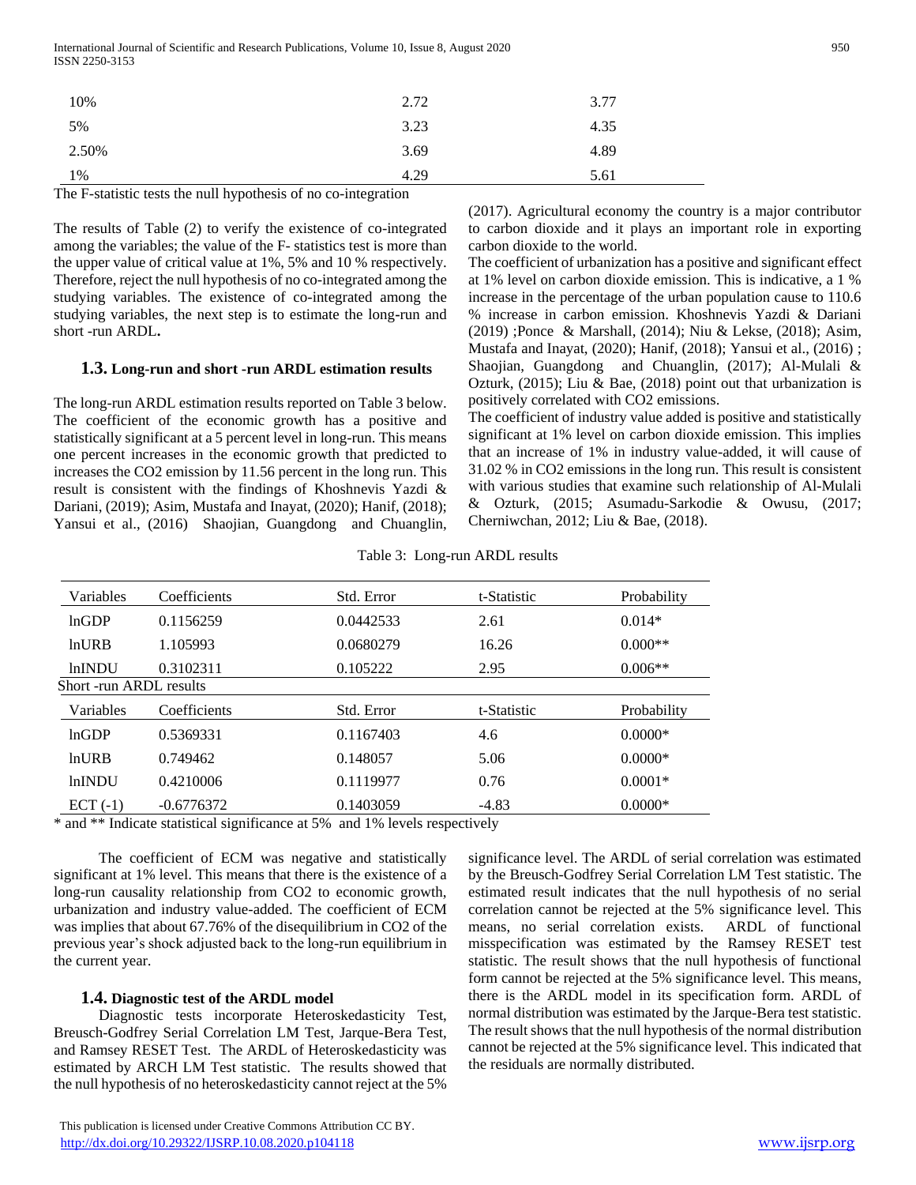International Journal of Scientific and Research Publications, Volume 10, Issue 8, August 2020 950 ISSN 2250-3153

| 10%   | 2.72 | 3.77 |
|-------|------|------|
| 5%    | 3.23 | 4.35 |
| 2.50% | 3.69 | 4.89 |
| 1%    | 4.29 | 5.61 |

The F-statistic tests the null hypothesis of no co-integration

The results of Table (2) to verify the existence of co-integrated among the variables; the value of the F- statistics test is more than the upper value of critical value at 1%, 5% and 10 % respectively. Therefore, reject the null hypothesis of no co-integrated among the studying variables. The existence of co-integrated among the studying variables, the next step is to estimate the long**-**run and short -run ARDL**.**

# **1.3. Long-run and short -run ARDL estimation results**

The long-run ARDL estimation results reported on Table 3 below. The coefficient of the economic growth has a positive and statistically significant at a 5 percent level in long-run. This means one percent increases in the economic growth that predicted to increases the CO2 emission by 11.56 percent in the long run. This result is consistent with the findings of Khoshnevis Yazdi & Dariani, (2019); Asim, Mustafa and Inayat, (2020); Hanif, (2018); Yansui et al., (2016) Shaojian, Guangdong and Chuanglin, (2017). Agricultural economy the country is a major contributor to carbon dioxide and it plays an important role in exporting carbon dioxide to the world.

The coefficient of urbanization has a positive and significant effect at 1% level on carbon dioxide emission. This is indicative, a 1 % increase in the percentage of the urban population cause to 110.6 % increase in carbon emission. Khoshnevis Yazdi & Dariani (2019) ;Ponce & Marshall, (2014); Niu & Lekse, (2018); Asim, Mustafa and Inayat, (2020); Hanif, (2018); Yansui et al., (2016) ; Shaojian, Guangdong and Chuanglin, (2017); Al-Mulali & Ozturk, (2015); Liu & Bae, (2018) point out that urbanization is positively correlated with CO2 emissions.

The coefficient of industry value added is positive and statistically significant at 1% level on carbon dioxide emission. This implies that an increase of 1% in industry value-added, it will cause of 31.02 % in CO2 emissions in the long run. This result is consistent with various studies that examine such relationship of Al-Mulali & Ozturk, (2015; Asumadu-Sarkodie & Owusu, (2017; Cherniwchan, 2012; Liu & Bae, (2018).

| Variables               | Coefficients                   | Std. Error | t-Statistic | Probability |
|-------------------------|--------------------------------|------------|-------------|-------------|
| lnGDP                   | 0.1156259                      | 0.0442533  | 2.61        | $0.014*$    |
| <b>lnURB</b>            | 1.105993                       | 0.0680279  | 16.26       | $0.000**$   |
| <b>lnINDU</b>           | 0.3102311                      | 0.105222   | 2.95        | $0.006**$   |
| Short -run ARDL results |                                |            |             |             |
| Variables               | Coefficients                   | Std. Error | t-Statistic | Probability |
| lnGDP                   | 0.5369331                      | 0.1167403  | 4.6         | $0.0000*$   |
|                         |                                |            |             |             |
| ln <b>URB</b>           | 0.749462                       | 0.148057   | 5.06        | $0.0000*$   |
| <b>lnINDU</b>           | 0.4210006                      | 0.1119977  | 0.76        | $0.0001*$   |
| $ECT (-1)$              | $-0.6776372$<br>$\cdot$ $\sim$ | 0.1403059  | $-4.83$     | $0.0000*$   |

Table 3: Long-run ARDL results

\* and \*\* Indicate statistical significance at 5% and 1% levels respectively

 The coefficient of ECM was negative and statistically significant at 1% level. This means that there is the existence of a long-run causality relationship from CO2 to economic growth, urbanization and industry value-added. The coefficient of ECM was implies that about 67.76% of the disequilibrium in CO2 of the previous year's shock adjusted back to the long-run equilibrium in the current year.

# **1.4. Diagnostic test of the ARDL model**

 Diagnostic tests incorporate Heteroskedasticity Test, Breusch-Godfrey Serial Correlation LM Test, Jarque-Bera Test, and Ramsey RESET Test. The ARDL of Heteroskedasticity was estimated by ARCH LM Test statistic. The results showed that the null hypothesis of no heteroskedasticity cannot reject at the 5%

significance level. The ARDL of serial correlation was estimated by the Breusch-Godfrey Serial Correlation LM Test statistic. The estimated result indicates that the null hypothesis of no serial correlation cannot be rejected at the 5% significance level. This means, no serial correlation exists. ARDL of functional misspecification was estimated by the Ramsey RESET test statistic. The result shows that the null hypothesis of functional form cannot be rejected at the 5% significance level. This means, there is the ARDL model in its specification form. ARDL of normal distribution was estimated by the Jarque-Bera test statistic. The result shows that the null hypothesis of the normal distribution cannot be rejected at the 5% significance level. This indicated that the residuals are normally distributed.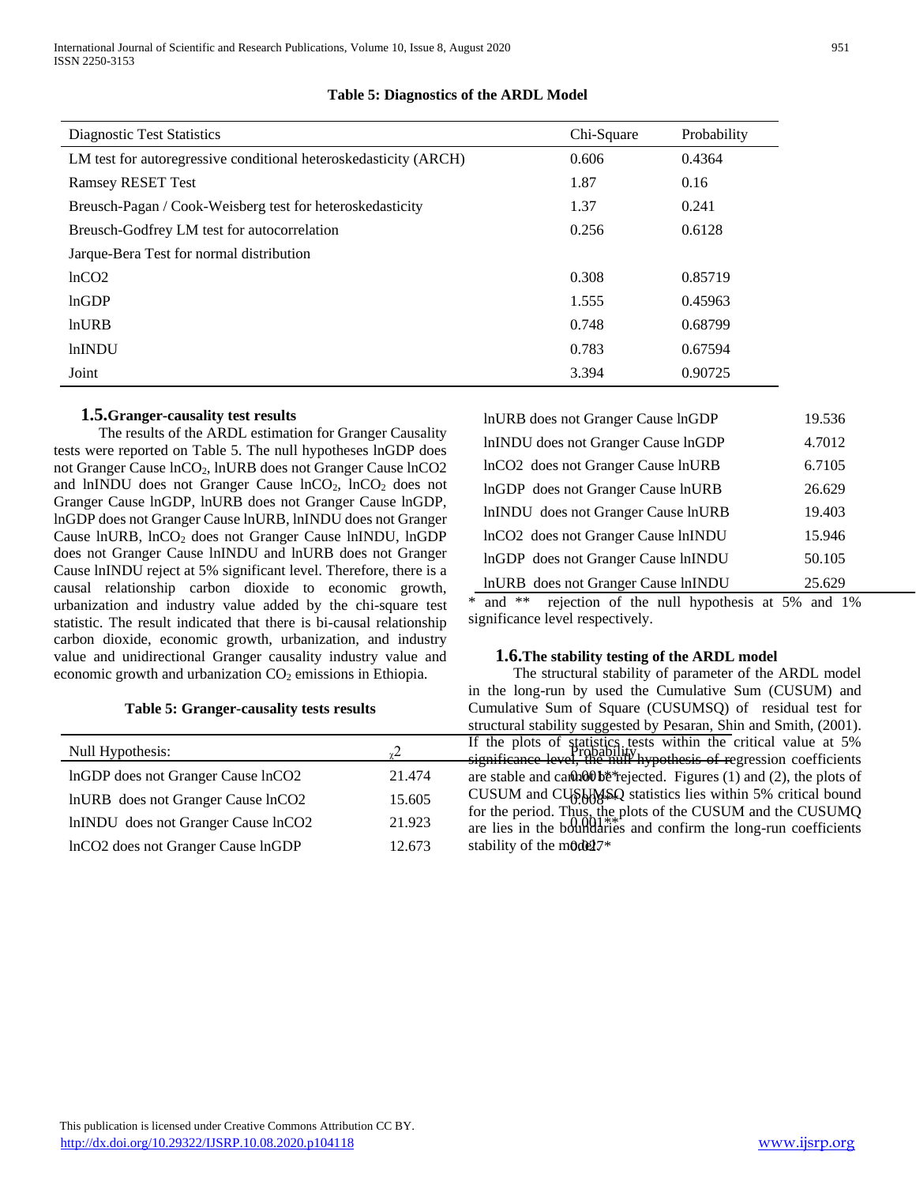| <b>Diagnostic Test Statistics</b>                                | Chi-Square | Probability |
|------------------------------------------------------------------|------------|-------------|
| LM test for autoregressive conditional heteroskedasticity (ARCH) | 0.606      | 0.4364      |
| <b>Ramsey RESET Test</b>                                         | 1.87       | 0.16        |
| Breusch-Pagan / Cook-Weisberg test for heteroskedasticity        | 1.37       | 0.241       |
| Breusch-Godfrey LM test for autocorrelation                      | 0.256      | 0.6128      |
| Jarque-Bera Test for normal distribution                         |            |             |
| lnCO <sub>2</sub>                                                | 0.308      | 0.85719     |
| lnGDP                                                            | 1.555      | 0.45963     |
| lnURB                                                            | 0.748      | 0.68799     |
| <b>lnINDU</b>                                                    | 0.783      | 0.67594     |
| Joint                                                            | 3.394      | 0.90725     |

# **Table 5: Diagnostics of the ARDL Model**

# **1.5.Granger-causality test results**

 The results of the ARDL estimation for Granger Causality tests were reported on Table 5. The null hypotheses lnGDP does not Granger Cause lnCO2, lnURB does not Granger Cause lnCO2 and lnINDU does not Granger Cause  $lnCO<sub>2</sub>$ ,  $lnCO<sub>2</sub>$  does not Granger Cause lnGDP, lnURB does not Granger Cause lnGDP, lnGDP does not Granger Cause lnURB, lnINDU does not Granger Cause lnURB, lnCO<sub>2</sub> does not Granger Cause lnINDU, lnGDP does not Granger Cause lnINDU and lnURB does not Granger Cause lnINDU reject at 5% significant level. Therefore, there is a causal relationship carbon dioxide to economic growth, urbanization and industry value added by the chi-square test statistic. The result indicated that there is bi-causal relationship carbon dioxide, economic growth, urbanization, and industry value and unidirectional Granger causality industry value and economic growth and urbanization  $CO<sub>2</sub>$  emissions in Ethiopia.

## **Table 5: Granger-causality tests results**

|                                     |        | $\frac{1}{2}$                                         |
|-------------------------------------|--------|-------------------------------------------------------|
| Null Hypothesis:                    |        | If the plots of statistic<br>significance level, the  |
| InGDP does not Granger Cause InCO2  | 21.474 | are stable and can bob's                              |
| InURB does not Granger Cause InCO2  | 15.605 | CUSUM and CUSHMS                                      |
| lnINDU does not Granger Cause lnCO2 | 21.923 | for the period. Thus, the<br>are lies in the boundari |
| InCO2 does not Granger Cause InGDP  | 12.673 | stability of the mode 17*                             |

| InURB does not Granger Cause InGDP                                                                                                                                                                                                    | 19.536 |
|---------------------------------------------------------------------------------------------------------------------------------------------------------------------------------------------------------------------------------------|--------|
| InINDU does not Granger Cause InGDP                                                                                                                                                                                                   | 4.7012 |
| InCO2 does not Granger Cause InURB                                                                                                                                                                                                    | 6.7105 |
| InGDP does not Granger Cause InURB                                                                                                                                                                                                    | 26.629 |
| InINDU does not Granger Cause InURB                                                                                                                                                                                                   | 19.403 |
| InCO2 does not Granger Cause InINDU                                                                                                                                                                                                   | 15.946 |
| InGDP does not Granger Cause InINDU                                                                                                                                                                                                   | 50.105 |
| InURB does not Granger Cause InINDU                                                                                                                                                                                                   | 25.629 |
| $\mathbf{A}$ and $\mathbf{A}$ are assumed to the contract of the contract of the contract of the contract of the contract of the contract of the contract of the contract of the contract of the contract of the contract of the cont |        |

\* and \*\* rejection of the null hypothesis at 5% and 1% significance level respectively.

#### **1.6.The stability testing of the ARDL model**

Null Hypothesis:<br>  $\frac{1}{2}$  Probability by probability by probability by the critical value at 5% lnGDP does not Granger Cause lnCO2 21.474 are stable and cannot be rejected. Figures (1) and (2), the plots of lnURB does not Granger Cause lnCO2 15.605 CUSUM and CUSUMSQ statistics lies within 5% critical bound lnINDU does not Granger Cause lnCO2 21.923 are lies in the boundaries and confirm the long-run coefficients The structural stability of parameter of the ARDL model in the long-run by used the Cumulative Sum (CUSUM) and Cumulative Sum of Square (CUSUMSQ) of residual test for structural stability suggested by Pesaran, Shin and Smith, (2001). significance level, the null hypothesis of regression coefficients for the period. Thus, the plots of the CUSUM and the CUSUMQ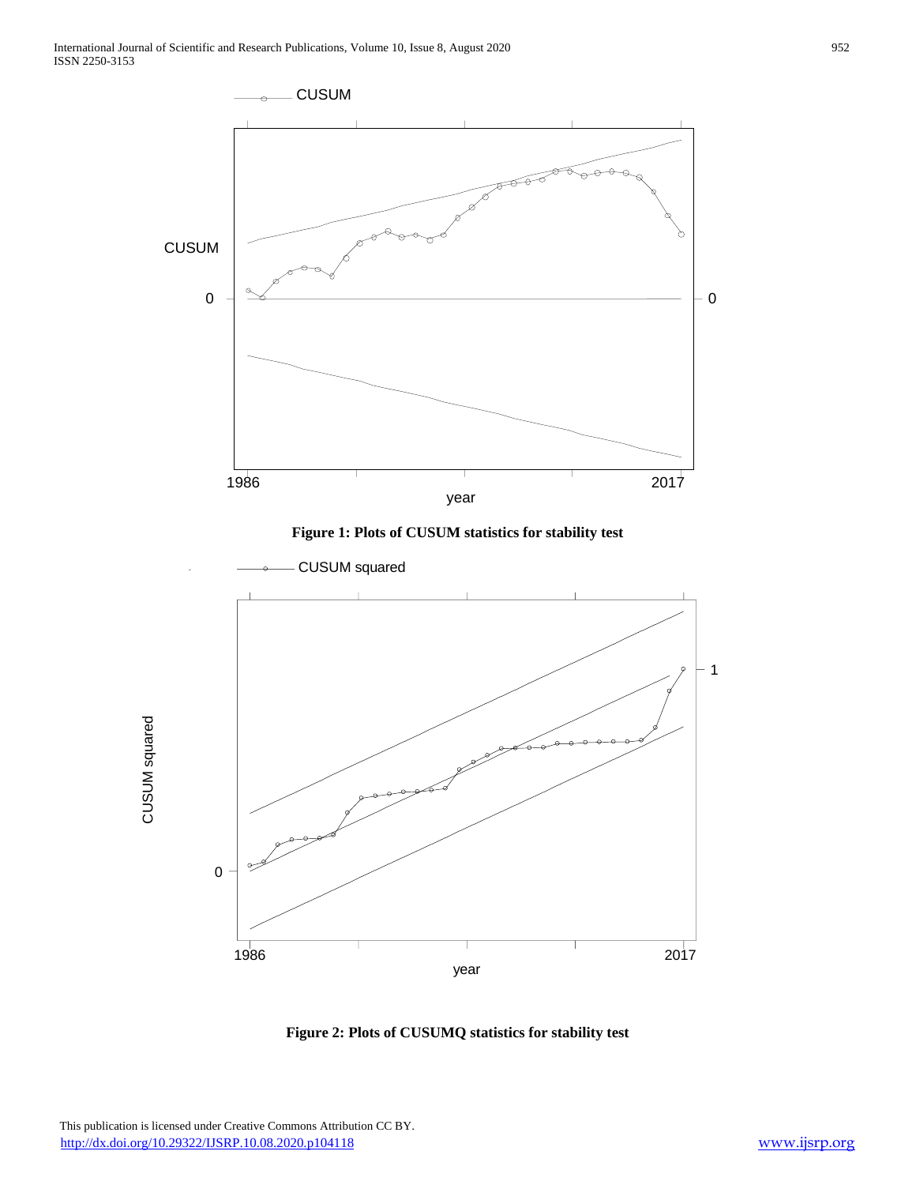

**Figure 1: Plots of CUSUM statistics for stability test**



**Figure 2: Plots of CUSUMQ statistics for stability test**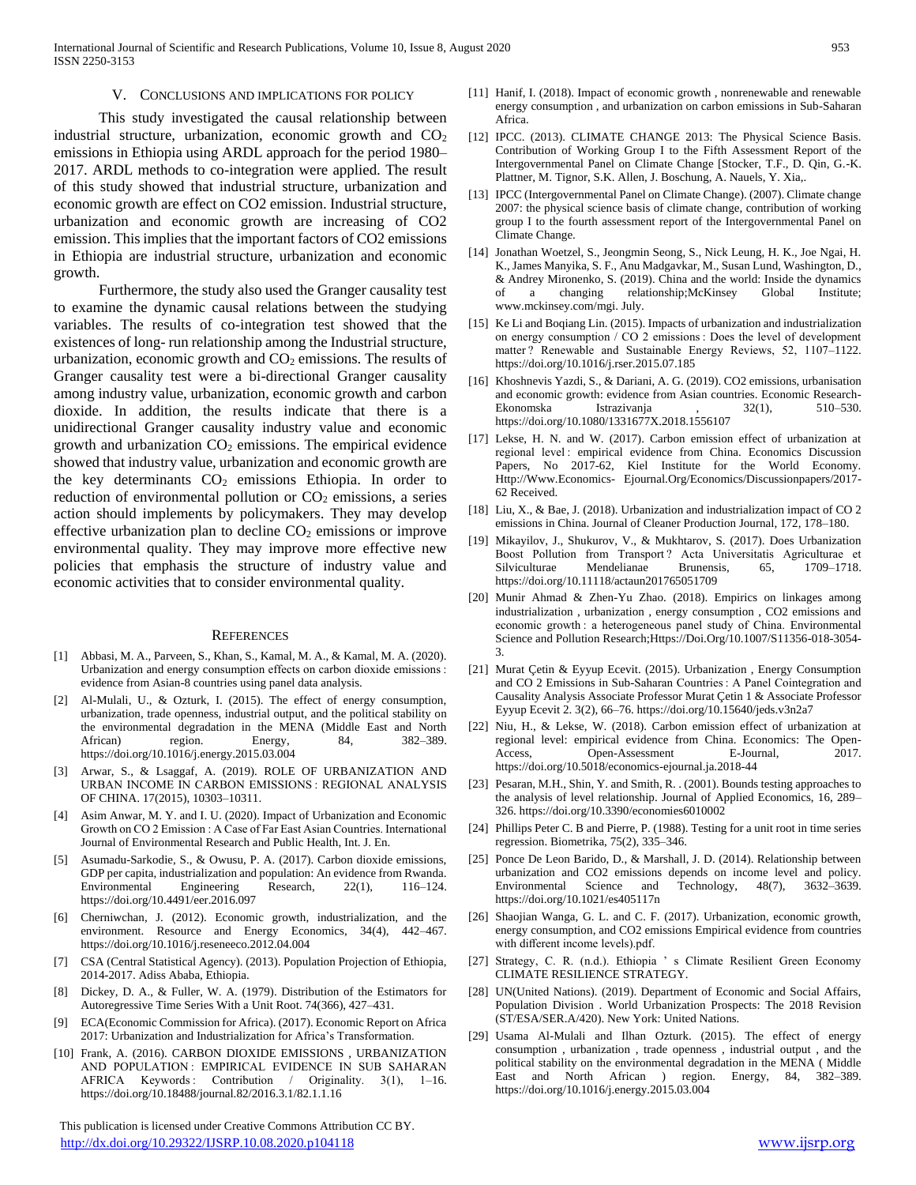#### V. CONCLUSIONS AND IMPLICATIONS FOR POLICY

 This study investigated the causal relationship between industrial structure, urbanization, economic growth and  $CO<sub>2</sub>$ emissions in Ethiopia using ARDL approach for the period 1980– 2017. ARDL methods to co-integration were applied. The result of this study showed that industrial structure, urbanization and economic growth are effect on CO2 emission. Industrial structure, urbanization and economic growth are increasing of CO2 emission. This implies that the important factors of CO2 emissions in Ethiopia are industrial structure, urbanization and economic growth.

 Furthermore, the study also used the Granger causality test to examine the dynamic causal relations between the studying variables. The results of co-integration test showed that the existences of long- run relationship among the Industrial structure, urbanization, economic growth and  $CO<sub>2</sub>$  emissions. The results of Granger causality test were a bi-directional Granger causality among industry value, urbanization, economic growth and carbon dioxide. In addition, the results indicate that there is a unidirectional Granger causality industry value and economic growth and urbanization  $CO<sub>2</sub>$  emissions. The empirical evidence showed that industry value, urbanization and economic growth are the key determinants  $CO<sub>2</sub>$  emissions Ethiopia. In order to reduction of environmental pollution or  $CO<sub>2</sub>$  emissions, a series action should implements by policymakers. They may develop effective urbanization plan to decline  $CO<sub>2</sub>$  emissions or improve environmental quality. They may improve more effective new policies that emphasis the structure of industry value and economic activities that to consider environmental quality.

#### **REFERENCES**

- [1] Abbasi, M. A., Parveen, S., Khan, S., Kamal, M. A., & Kamal, M. A. (2020). Urbanization and energy consumption effects on carbon dioxide emissions : evidence from Asian-8 countries using panel data analysis.
- [2] Al-Mulali, U., & Ozturk, I. (2015). The effect of energy consumption, urbanization, trade openness, industrial output, and the political stability on the environmental degradation in the MENA (Middle East and North African) region. Energy, 84, 382-389. https://doi.org/10.1016/j.energy.2015.03.004
- [3] Arwar, S., & Lsaggaf, A. (2019). ROLE OF URBANIZATION AND URBAN INCOME IN CARBON EMISSIONS : REGIONAL ANALYSIS OF CHINA. 17(2015), 10303–10311.
- [4] Asim Anwar, M. Y. and I. U. (2020). Impact of Urbanization and Economic Growth on CO 2 Emission : A Case of Far East Asian Countries. International Journal of Environmental Research and Public Health, Int. J. En.
- [5] Asumadu-Sarkodie, S., & Owusu, P. A. (2017). Carbon dioxide emissions, GDP per capita, industrialization and population: An evidence from Rwanda. Environmental Engineering Research, 22(1), 116–124. https://doi.org/10.4491/eer.2016.097
- [6] Cherniwchan, J. (2012). Economic growth, industrialization, and the environment. Resource and Energy Economics, 34(4), 442–467. https://doi.org/10.1016/j.reseneeco.2012.04.004
- [7] CSA (Central Statistical Agency). (2013). Population Projection of Ethiopia, 2014-2017. Adiss Ababa, Ethiopia.
- [8] Dickey, D. A., & Fuller, W. A. (1979). Distribution of the Estimators for Autoregressive Time Series With a Unit Root. 74(366), 427–431.
- ECA(Economic Commission for Africa). (2017). Economic Report on Africa 2017: Urbanization and Industrialization for Africa's Transformation.
- [10] Frank, A. (2016). CARBON DIOXIDE EMISSIONS, URBANIZATION AND POPULATION : EMPIRICAL EVIDENCE IN SUB SAHARAN AFRICA Keywords : Contribution / Originality. 3(1), 1–16. https://doi.org/10.18488/journal.82/2016.3.1/82.1.1.16

 This publication is licensed under Creative Commons Attribution CC BY. <http://dx.doi.org/10.29322/IJSRP.10.08.2020.p104118> [www.ijsrp.org](http://ijsrp.org/)

- [11] Hanif, I. (2018). Impact of economic growth , nonrenewable and renewable energy consumption , and urbanization on carbon emissions in Sub-Saharan Africa.
- [12] IPCC. (2013). CLIMATE CHANGE 2013: The Physical Science Basis. Contribution of Working Group I to the Fifth Assessment Report of the Intergovernmental Panel on Climate Change [Stocker, T.F., D. Qin, G.-K. Plattner, M. Tignor, S.K. Allen, J. Boschung, A. Nauels, Y. Xia,.
- [13] IPCC (Intergovernmental Panel on Climate Change). (2007). Climate change 2007: the physical science basis of climate change, contribution of working group I to the fourth assessment report of the Intergovernmental Panel on Climate Change.
- [14] Jonathan Woetzel, S., Jeongmin Seong, S., Nick Leung, H. K., Joe Ngai, H. K., James Manyika, S. F., Anu Madgavkar, M., Susan Lund, Washington, D., & Andrey Mironenko, S. (2019). China and the world: Inside the dynamics of a changing relationship;McKinsey Global Institute; www.mckinsey.com/mgi. July.
- [15] Ke Li and Boqiang Lin. (2015). Impacts of urbanization and industrialization on energy consumption / CO 2 emissions : Does the level of development matter ? Renewable and Sustainable Energy Reviews, 52, 1107–1122. https://doi.org/10.1016/j.rser.2015.07.185
- [16] Khoshnevis Yazdi, S., & Dariani, A. G. (2019). CO2 emissions, urbanisation and economic growth: evidence from Asian countries. Economic Research-Ekonomska Istrazivanja , 32(1), 510–530. https://doi.org/10.1080/1331677X.2018.1556107
- [17] Lekse, H. N. and W. (2017). Carbon emission effect of urbanization at regional level : empirical evidence from China. Economics Discussion Papers, No. 2017-62, Kiel Institute for the World Economy. Http://Www.Economics- Ejournal.Org/Economics/Discussionpapers/2017- 62 Received.
- [18] Liu, X., & Bae, J. (2018). Urbanization and industrialization impact of CO 2 emissions in China. Journal of Cleaner Production Journal, 172, 178–180.
- [19] Mikayilov, J., Shukurov, V., & Mukhtarov, S. (2017). Does Urbanization Boost Pollution from Transport ? Acta Universitatis Agriculturae et Silviculturae Mendelianae Brunensis, 65, 1709–1718. https://doi.org/10.11118/actaun201765051709
- [20] Munir Ahmad & Zhen-Yu Zhao. (2018). Empirics on linkages among industrialization , urbanization , energy consumption , CO2 emissions and economic growth : a heterogeneous panel study of China. Environmental Science and Pollution Research;Https://Doi.Org/10.1007/S11356-018-3054- 3.
- [21] Murat Çetin & Eyyup Ecevit. (2015). Urbanization , Energy Consumption and CO 2 Emissions in Sub-Saharan Countries : A Panel Cointegration and Causality Analysis Associate Professor Murat Çetin 1 & Associate Professor Eyyup Ecevit 2. 3(2), 66–76. https://doi.org/10.15640/jeds.v3n2a7
- [22] Niu, H., & Lekse, W. (2018). Carbon emission effect of urbanization at regional level: empirical evidence from China. Economics: The Open-Access, Open-Assessment E-Journal, 2017. https://doi.org/10.5018/economics-ejournal.ja.2018-44
- [23] Pesaran, M.H., Shin, Y. and Smith, R. . (2001). Bounds testing approaches to the analysis of level relationship. Journal of Applied Economics, 16, 289– 326. https://doi.org/10.3390/economies6010002
- [24] Phillips Peter C. B and Pierre, P. (1988). Testing for a unit root in time series regression. Biometrika, 75(2), 335–346.
- [25] Ponce De Leon Barido, D., & Marshall, J. D. (2014). Relationship between urbanization and CO2 emissions depends on income level and policy.<br>Environmental Science and Technology, 48(7), 3632-3639. Environmental Science and Technology, 48(7), 3632–3639. https://doi.org/10.1021/es405117n
- [26] Shaojian Wanga, G. L. and C. F. (2017). Urbanization, economic growth, energy consumption, and CO2 emissions Empirical evidence from countries with different income levels).pdf.
- [27] Strategy, C. R. (n.d.). Ethiopia ' s Climate Resilient Green Economy CLIMATE RESILIENCE STRATEGY.
- [28] UN(United Nations). (2019). Department of Economic and Social Affairs, Population Division . World Urbanization Prospects: The 2018 Revision (ST/ESA/SER.A/420). New York: United Nations.
- [29] Usama Al-Mulali and Ilhan Ozturk. (2015). The effect of energy consumption , urbanization , trade openness , industrial output , and the political stability on the environmental degradation in the MENA ( Middle East and North African ) region. Energy, 84, 382–389. https://doi.org/10.1016/j.energy.2015.03.004